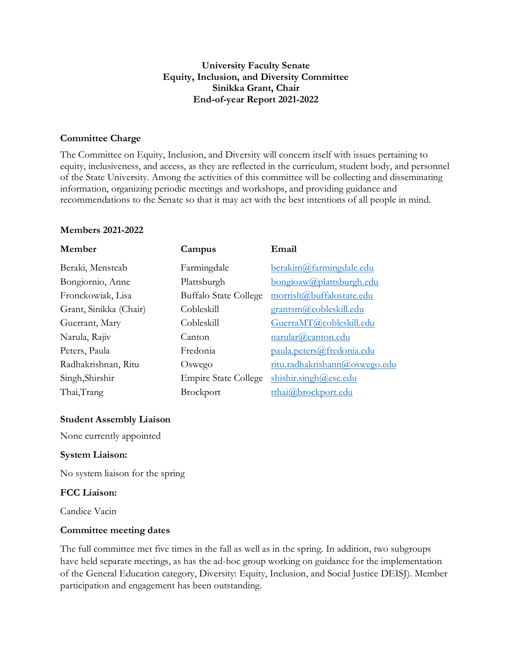# **University Faculty Senate Equity, Inclusion, and Diversity Committee Sinikka Grant, Chair End-of-year Report 2021-2022**

## **Committee Charge**

The Committee on Equity, Inclusion, and Diversity will concern itself with issues pertaining to equity, inclusiveness, and access, as they are reflected in the curriculum, student body, and personnel of the State University. Among the activities of this committee will be collecting and disseminating information, organizing periodic meetings and workshops, and providing guidance and recommendations to the Senate so that it may act with the best intentions of all people in mind.

#### **Members 2021-2022**

| Campus                       | Email                         |
|------------------------------|-------------------------------|
| Farmingdale                  | berakim@farmingdale.edu       |
| Plattsburgh                  | bongioaw@plattsburgh.edu      |
| <b>Buffalo State College</b> | morrislt@buffalostate.edu     |
| Cobleskill                   | grantsm@cobleskill.edu        |
| Cobleskill                   | GuerraMT@cobleskill.edu       |
| Canton                       | narular@canton.edu            |
| Fredonia                     | paula.peters@fredonia.edu     |
| Oswego                       | ritu.radhakrishann@oswego.edu |
| <b>Empire State College</b>  | shishir.singh@esc.edu         |
| <b>Brockport</b>             | tthai@brockport.edu           |
|                              |                               |

#### **Student Assembly Liaison**

None currently appointed

### **System Liaison:**

No system liaison for the spring

#### **FCC Liaison:**

Candice Vacin

#### **Committee meeting dates**

The full committee met five times in the fall as well as in the spring. In addition, two subgroups have held separate meetings, as has the ad-hoc group working on guidance for the implementation of the General Education category, Diversity: Equity, Inclusion, and Social Justice DEISJ). Member participation and engagement has been outstanding.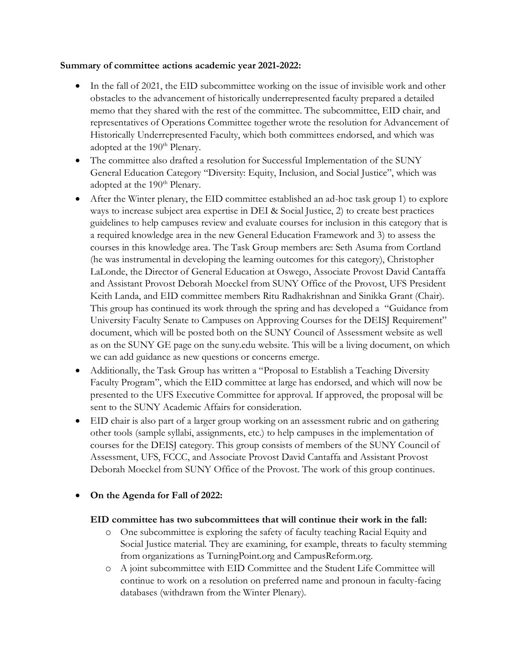## **Summary of committee actions academic year 2021-2022:**

- In the fall of 2021, the EID subcommittee working on the issue of invisible work and other obstacles to the advancement of historically underrepresented faculty prepared a detailed memo that they shared with the rest of the committee. The subcommittee, EID chair, and representatives of Operations Committee together wrote the resolution for Advancement of Historically Underrepresented Faculty, which both committees endorsed, and which was adopted at the 190<sup>th</sup> Plenary.
- The committee also drafted a resolution for Successful Implementation of the SUNY General Education Category "Diversity: Equity, Inclusion, and Social Justice", which was adopted at the 190<sup>th</sup> Plenary.
- After the Winter plenary, the EID committee established an ad-hoc task group 1) to explore ways to increase subject area expertise in DEI & Social Justice, 2) to create best practices guidelines to help campuses review and evaluate courses for inclusion in this category that is a required knowledge area in the new General Education Framework and 3) to assess the courses in this knowledge area. The Task Group members are: Seth Asuma from Cortland (he was instrumental in developing the learning outcomes for this category), Christopher LaLonde, the Director of General Education at Oswego, Associate Provost David Cantaffa and Assistant Provost Deborah Moeckel from SUNY Office of the Provost, UFS President Keith Landa, and EID committee members Ritu Radhakrishnan and Sinikka Grant (Chair). This group has continued its work through the spring and has developed a "Guidance from University Faculty Senate to Campuses on Approving Courses for the DEISJ Requirement" document, which will be posted both on the SUNY Council of Assessment website as well as on the SUNY GE page on the suny.edu website. This will be a living document, on which we can add guidance as new questions or concerns emerge.
- Additionally, the Task Group has written a "Proposal to Establish a Teaching Diversity Faculty Program", which the EID committee at large has endorsed, and which will now be presented to the UFS Executive Committee for approval. If approved, the proposal will be sent to the SUNY Academic Affairs for consideration.
- EID chair is also part of a larger group working on an assessment rubric and on gathering other tools (sample syllabi, assignments, etc.) to help campuses in the implementation of courses for the DEISJ category. This group consists of members of the SUNY Council of Assessment, UFS, FCCC, and Associate Provost David Cantaffa and Assistant Provost Deborah Moeckel from SUNY Office of the Provost. The work of this group continues.

# • **On the Agenda for Fall of 2022:**

# **EID committee has two subcommittees that will continue their work in the fall:**

- o One subcommittee is exploring the safety of faculty teaching Racial Equity and Social Justice material. They are examining, for example, threats to faculty stemming from organizations as TurningPoint.org and CampusReform.org.
- o A joint subcommittee with EID Committee and the Student Life Committee will continue to work on a resolution on preferred name and pronoun in faculty-facing databases (withdrawn from the Winter Plenary).